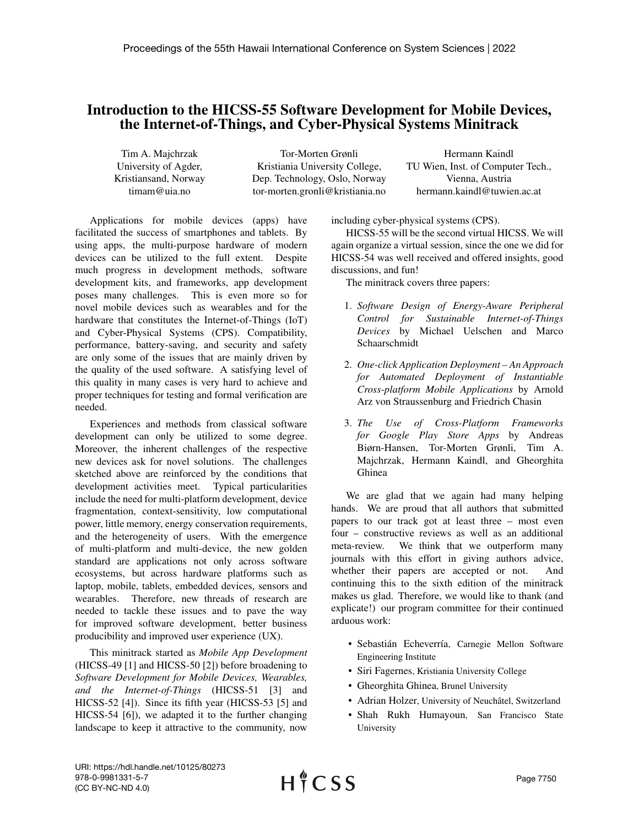## Introduction to the HICSS-55 Software Development for Mobile Devices, the Internet-of-Things, and Cyber-Physical Systems Minitrack

Tim A. Majchrzak University of Agder, Kristiansand, Norway timam@uia.no

Tor-Morten Grønli Kristiania University College, Dep. Technology, Oslo, Norway tor-morten.gronli@kristiania.no

Hermann Kaindl TU Wien, Inst. of Computer Tech., Vienna, Austria hermann.kaindl@tuwien.ac.at

Applications for mobile devices (apps) have facilitated the success of smartphones and tablets. By using apps, the multi-purpose hardware of modern devices can be utilized to the full extent. Despite much progress in development methods, software development kits, and frameworks, app development poses many challenges. This is even more so for novel mobile devices such as wearables and for the hardware that constitutes the Internet-of-Things (IoT) and Cyber-Physical Systems (CPS). Compatibility, performance, battery-saving, and security and safety are only some of the issues that are mainly driven by the quality of the used software. A satisfying level of this quality in many cases is very hard to achieve and proper techniques for testing and formal verification are needed.

Experiences and methods from classical software development can only be utilized to some degree. Moreover, the inherent challenges of the respective new devices ask for novel solutions. The challenges sketched above are reinforced by the conditions that development activities meet. Typical particularities include the need for multi-platform development, device fragmentation, context-sensitivity, low computational power, little memory, energy conservation requirements, and the heterogeneity of users. With the emergence of multi-platform and multi-device, the new golden standard are applications not only across software ecosystems, but across hardware platforms such as laptop, mobile, tablets, embedded devices, sensors and wearables. Therefore, new threads of research are needed to tackle these issues and to pave the way for improved software development, better business producibility and improved user experience (UX).

This minitrack started as *Mobile App Development* (HICSS-49 [1] and HICSS-50 [2]) before broadening to *Software Development for Mobile Devices, Wearables, and the Internet-of-Things* (HICSS-51 [3] and HICSS-52 [4]). Since its fifth year (HICSS-53 [5] and HICSS-54 [6]), we adapted it to the further changing landscape to keep it attractive to the community, now including cyber-physical systems (CPS).

HICSS-55 will be the second virtual HICSS. We will again organize a virtual session, since the one we did for HICSS-54 was well received and offered insights, good discussions, and fun!

The minitrack covers three papers:

- 1. *Software Design of Energy-Aware Peripheral Control for Sustainable Internet-of-Things Devices* by Michael Uelschen and Marco Schaarschmidt
- 2. *One-click Application Deployment An Approach for Automated Deployment of Instantiable Cross-platform Mobile Applications* by Arnold Arz von Straussenburg and Friedrich Chasin
- 3. *The Use of Cross-Platform Frameworks for Google Play Store Apps* by Andreas Biørn-Hansen, Tor-Morten Grønli, Tim A. Majchrzak, Hermann Kaindl, and Gheorghita Ghinea

We are glad that we again had many helping hands. We are proud that all authors that submitted papers to our track got at least three – most even four – constructive reviews as well as an additional meta-review. We think that we outperform many journals with this effort in giving authors advice, whether their papers are accepted or not. And continuing this to the sixth edition of the minitrack makes us glad. Therefore, we would like to thank (and explicate!) our program committee for their continued arduous work:

- Sebastián Echeverría, Carnegie Mellon Software Engineering Institute
- Siri Fagernes, Kristiania University College
- Gheorghita Ghinea, Brunel University
- Adrian Holzer, University of Neuchatel, Switzerland ˆ
- Shah Rukh Humayoun, San Francisco State University

URI: https://hdl.handle.net/10125/80273 978-0-9981331-5-7 (CC BY-NC-ND 4.0)